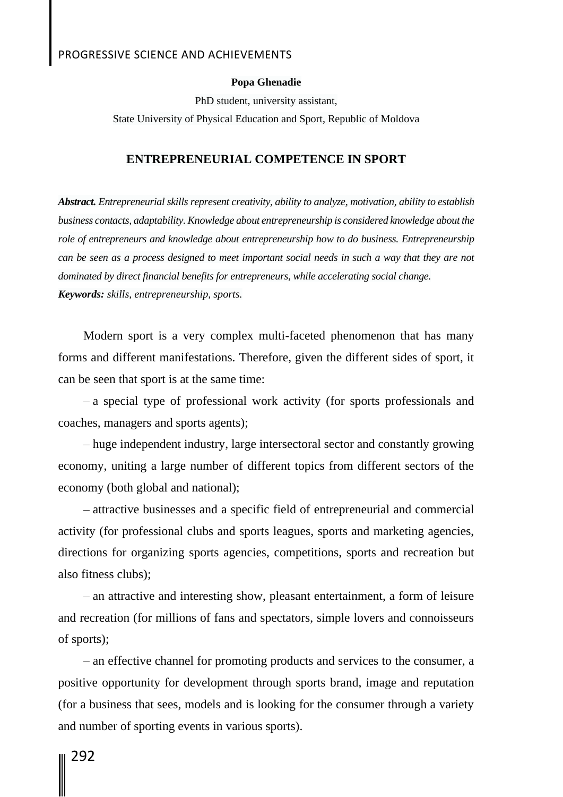### PROGRESSIVE SCIENCE AND ACHIEVEMENTS

#### **Popa Ghenadie**

PhD student, university assistant, State University of Physical Education and Sport, Republic of Moldova

#### **ENTREPRENEURIAL COMPETENCE IN SPORT**

*Abstract. Entrepreneurial skills represent creativity, ability to analyze, motivation, ability to establish business contacts, adaptability. Knowledge about entrepreneurship is considered knowledge about the role of entrepreneurs and knowledge about entrepreneurship how to do business. Entrepreneurship can be seen as a process designed to meet important social needs in such a way that they are not dominated by direct financial benefits for entrepreneurs, while accelerating social change. Keywords: skills, entrepreneurship, sports.*

Modern sport is a very complex multi-faceted phenomenon that has many forms and different manifestations. Therefore, given the different sides of sport, it can be seen that sport is at the same time:

– a special type of professional work activity (for sports professionals and coaches, managers and sports agents);

– huge independent industry, large intersectoral sector and constantly growing economy, uniting a large number of different topics from different sectors of the economy (both global and national);

– attractive businesses and a specific field of entrepreneurial and commercial activity (for professional clubs and sports leagues, sports and marketing agencies, directions for organizing sports agencies, competitions, sports and recreation but also fitness clubs);

– an attractive and interesting show, pleasant entertainment, a form of leisure and recreation (for millions of fans and spectators, simple lovers and connoisseurs of sports);

– an effective channel for promoting products and services to the consumer, a positive opportunity for development through sports brand, image and reputation (for a business that sees, models and is looking for the consumer through a variety and number of sporting events in various sports).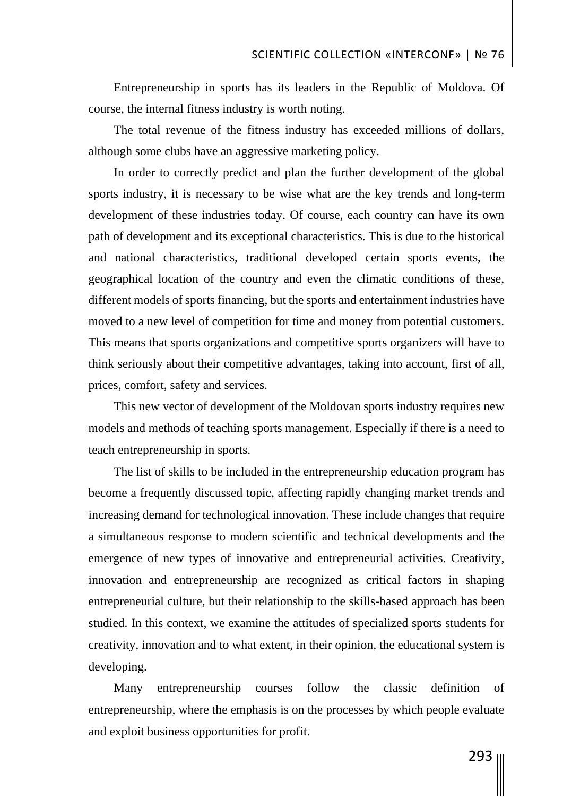Entrepreneurship in sports has its leaders in the Republic of Moldova. Of course, the internal fitness industry is worth noting.

The total revenue of the fitness industry has exceeded millions of dollars, although some clubs have an aggressive marketing policy.

In order to correctly predict and plan the further development of the global sports industry, it is necessary to be wise what are the key trends and long-term development of these industries today. Of course, each country can have its own path of development and its exceptional characteristics. This is due to the historical and national characteristics, traditional developed certain sports events, the geographical location of the country and even the climatic conditions of these, different models of sports financing, but the sports and entertainment industries have moved to a new level of competition for time and money from potential customers. This means that sports organizations and competitive sports organizers will have to think seriously about their competitive advantages, taking into account, first of all, prices, comfort, safety and services.

This new vector of development of the Moldovan sports industry requires new models and methods of teaching sports management. Especially if there is a need to teach entrepreneurship in sports.

The list of skills to be included in the entrepreneurship education program has become a frequently discussed topic, affecting rapidly changing market trends and increasing demand for technological innovation. These include changes that require a simultaneous response to modern scientific and technical developments and the emergence of new types of innovative and entrepreneurial activities. Creativity, innovation and entrepreneurship are recognized as critical factors in shaping entrepreneurial culture, but their relationship to the skills-based approach has been studied. In this context, we examine the attitudes of specialized sports students for creativity, innovation and to what extent, in their opinion, the educational system is developing.

Many entrepreneurship courses follow the classic definition of entrepreneurship, where the emphasis is on the processes by which people evaluate and exploit business opportunities for profit.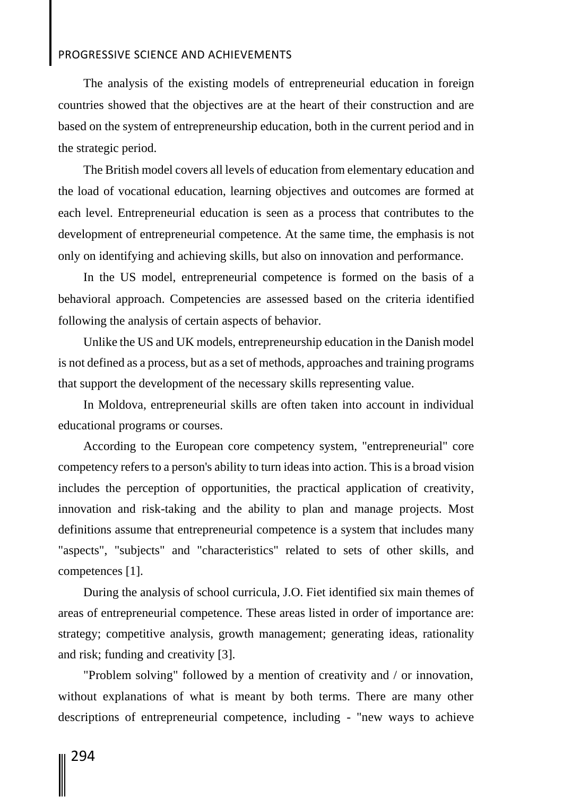## PROGRESSIVE SCIENCE AND ACHIEVEMENTS

The analysis of the existing models of entrepreneurial education in foreign countries showed that the objectives are at the heart of their construction and are based on the system of entrepreneurship education, both in the current period and in the strategic period.

The British model covers all levels of education from elementary education and the load of vocational education, learning objectives and outcomes are formed at each level. Entrepreneurial education is seen as a process that contributes to the development of entrepreneurial competence. At the same time, the emphasis is not only on identifying and achieving skills, but also on innovation and performance.

In the US model, entrepreneurial competence is formed on the basis of a behavioral approach. Competencies are assessed based on the criteria identified following the analysis of certain aspects of behavior.

Unlike the US and UK models, entrepreneurship education in the Danish model is not defined as a process, but as a set of methods, approaches and training programs that support the development of the necessary skills representing value.

In Moldova, entrepreneurial skills are often taken into account in individual educational programs or courses.

According to the European core competency system, "entrepreneurial" core competency refers to a person's ability to turn ideas into action. This is a broad vision includes the perception of opportunities, the practical application of creativity, innovation and risk-taking and the ability to plan and manage projects. Most definitions assume that entrepreneurial competence is a system that includes many "aspects", "subjects" and "characteristics" related to sets of other skills, and competences [1].

During the analysis of school curricula, J.O. Fiet identified six main themes of areas of entrepreneurial competence. These areas listed in order of importance are: strategy; competitive analysis, growth management; generating ideas, rationality and risk; funding and creativity [3].

"Problem solving" followed by a mention of creativity and / or innovation, without explanations of what is meant by both terms. There are many other descriptions of entrepreneurial competence, including - "new ways to achieve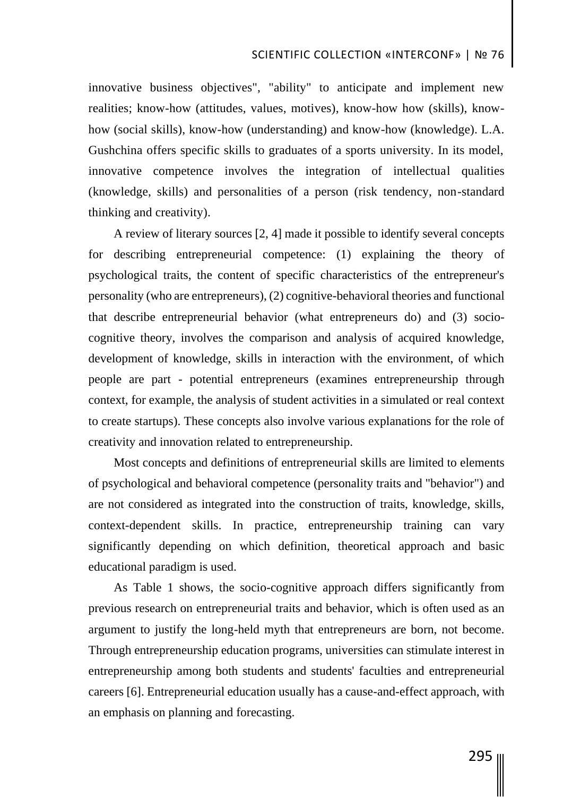innovative business objectives", "ability" to anticipate and implement new realities; know-how (attitudes, values, motives), know-how how (skills), knowhow (social skills), know-how (understanding) and know-how (knowledge). L.A. Gushchina offers specific skills to graduates of a sports university. In its model, innovative competence involves the integration of intellectual qualities (knowledge, skills) and personalities of a person (risk tendency, non-standard thinking and creativity).

A review of literary sources [2, 4] made it possible to identify several concepts for describing entrepreneurial competence: (1) explaining the theory of psychological traits, the content of specific characteristics of the entrepreneur's personality (who are entrepreneurs), (2) cognitive-behavioral theories and functional that describe entrepreneurial behavior (what entrepreneurs do) and (3) sociocognitive theory, involves the comparison and analysis of acquired knowledge, development of knowledge, skills in interaction with the environment, of which people are part - potential entrepreneurs (examines entrepreneurship through context, for example, the analysis of student activities in a simulated or real context to create startups). These concepts also involve various explanations for the role of creativity and innovation related to entrepreneurship.

Most concepts and definitions of entrepreneurial skills are limited to elements of psychological and behavioral competence (personality traits and "behavior") and are not considered as integrated into the construction of traits, knowledge, skills, context-dependent skills. In practice, entrepreneurship training can vary significantly depending on which definition, theoretical approach and basic educational paradigm is used.

As Table 1 shows, the socio-cognitive approach differs significantly from previous research on entrepreneurial traits and behavior, which is often used as an argument to justify the long-held myth that entrepreneurs are born, not become. Through entrepreneurship education programs, universities can stimulate interest in entrepreneurship among both students and students' faculties and entrepreneurial careers [6]. Entrepreneurial education usually has a cause-and-effect approach, with an emphasis on planning and forecasting.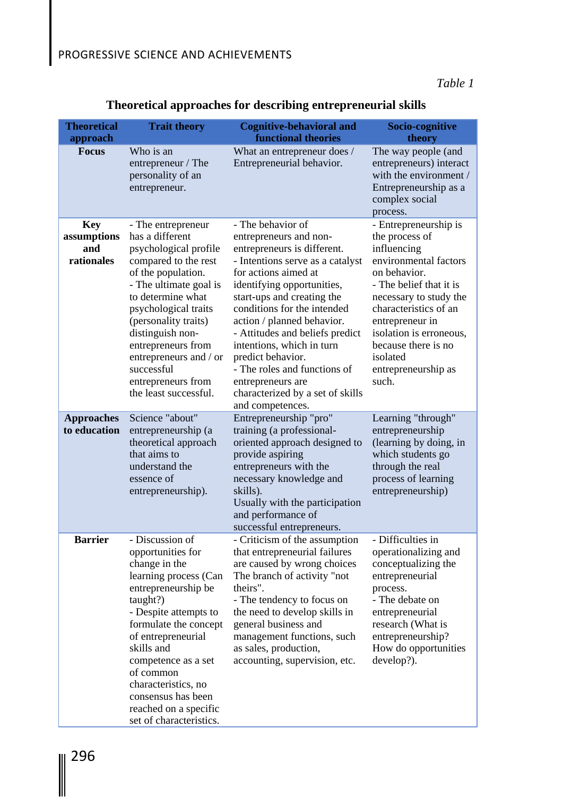*Table 1*

| <b>Theoretical</b><br>approach                 | <b>Trait theory</b>                                                                                                                                                                                                                                                                                                                          | <b>Cognitive-behavioral and</b><br><b>functional theories</b>                                                                                                                                                                                                                                                                                                                                                                                                     | Socio-cognitive<br>theory                                                                                                                                                                                                                                                                      |
|------------------------------------------------|----------------------------------------------------------------------------------------------------------------------------------------------------------------------------------------------------------------------------------------------------------------------------------------------------------------------------------------------|-------------------------------------------------------------------------------------------------------------------------------------------------------------------------------------------------------------------------------------------------------------------------------------------------------------------------------------------------------------------------------------------------------------------------------------------------------------------|------------------------------------------------------------------------------------------------------------------------------------------------------------------------------------------------------------------------------------------------------------------------------------------------|
| <b>Focus</b>                                   | Who is an<br>entrepreneur / The<br>personality of an<br>entrepreneur.                                                                                                                                                                                                                                                                        | What an entrepreneur does /<br>Entrepreneurial behavior.                                                                                                                                                                                                                                                                                                                                                                                                          | The way people (and<br>entrepreneurs) interact<br>with the environment /<br>Entrepreneurship as a<br>complex social<br>process.                                                                                                                                                                |
| <b>Key</b><br>assumptions<br>and<br>rationales | - The entrepreneur<br>has a different<br>psychological profile<br>compared to the rest<br>of the population.<br>- The ultimate goal is<br>to determine what<br>psychological traits<br>(personality traits)<br>distinguish non-<br>entrepreneurs from<br>entrepreneurs and / or<br>successful<br>entrepreneurs from<br>the least successful. | - The behavior of<br>entrepreneurs and non-<br>entrepreneurs is different.<br>- Intentions serve as a catalyst<br>for actions aimed at<br>identifying opportunities,<br>start-ups and creating the<br>conditions for the intended<br>action / planned behavior.<br>- Attitudes and beliefs predict<br>intentions, which in turn<br>predict behavior.<br>- The roles and functions of<br>entrepreneurs are<br>characterized by a set of skills<br>and competences. | - Entrepreneurship is<br>the process of<br>influencing<br>environmental factors<br>on behavior.<br>- The belief that it is<br>necessary to study the<br>characteristics of an<br>entrepreneur in<br>isolation is erroneous,<br>because there is no<br>isolated<br>entrepreneurship as<br>such. |
| <b>Approaches</b><br>to education              | Science "about"<br>entrepreneurship (a<br>theoretical approach<br>that aims to<br>understand the<br>essence of<br>entrepreneurship).                                                                                                                                                                                                         | Entrepreneurship "pro"<br>training (a professional-<br>oriented approach designed to<br>provide aspiring<br>entrepreneurs with the<br>necessary knowledge and<br>skills).<br>Usually with the participation<br>and performance of<br>successful entrepreneurs.                                                                                                                                                                                                    | Learning "through"<br>entrepreneurship<br>(learning by doing, in<br>which students go<br>through the real<br>process of learning<br>entrepreneurship)                                                                                                                                          |
| <b>Barrier</b>                                 | - Discussion of<br>opportunities for<br>change in the<br>learning process (Can<br>entrepreneurship be<br>taught?)<br>- Despite attempts to<br>formulate the concept<br>of entrepreneurial<br>skills and<br>competence as a set<br>of common<br>characteristics, no<br>consensus has been<br>reached on a specific<br>set of characteristics. | - Criticism of the assumption<br>that entrepreneurial failures<br>are caused by wrong choices<br>The branch of activity "not<br>theirs".<br>- The tendency to focus on<br>the need to develop skills in<br>general business and<br>management functions, such<br>as sales, production,<br>accounting, supervision, etc.                                                                                                                                           | - Difficulties in<br>operationalizing and<br>conceptualizing the<br>entrepreneurial<br>process.<br>- The debate on<br>entrepreneurial<br>research (What is<br>entrepreneurship?<br>How do opportunities<br>develop?).                                                                          |

# **Theoretical approaches for describing entrepreneurial skills**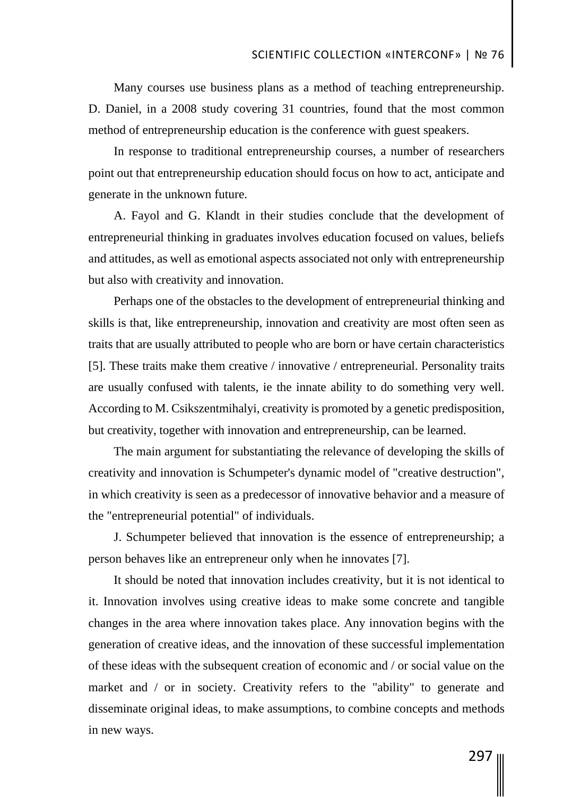Many courses use business plans as a method of teaching entrepreneurship. D. Daniel, in a 2008 study covering 31 countries, found that the most common method of entrepreneurship education is the conference with guest speakers.

In response to traditional entrepreneurship courses, a number of researchers point out that entrepreneurship education should focus on how to act, anticipate and generate in the unknown future.

A. Fayol and G. Klandt in their studies conclude that the development of entrepreneurial thinking in graduates involves education focused on values, beliefs and attitudes, as well as emotional aspects associated not only with entrepreneurship but also with creativity and innovation.

Perhaps one of the obstacles to the development of entrepreneurial thinking and skills is that, like entrepreneurship, innovation and creativity are most often seen as traits that are usually attributed to people who are born or have certain characteristics [5]. These traits make them creative / innovative / entrepreneurial. Personality traits are usually confused with talents, ie the innate ability to do something very well. According to M. Csikszentmihalyi, creativity is promoted by a genetic predisposition, but creativity, together with innovation and entrepreneurship, can be learned.

The main argument for substantiating the relevance of developing the skills of creativity and innovation is Schumpeter's dynamic model of "creative destruction", in which creativity is seen as a predecessor of innovative behavior and a measure of the "entrepreneurial potential" of individuals.

J. Schumpeter believed that innovation is the essence of entrepreneurship; a person behaves like an entrepreneur only when he innovates [7].

It should be noted that innovation includes creativity, but it is not identical to it. Innovation involves using creative ideas to make some concrete and tangible changes in the area where innovation takes place. Any innovation begins with the generation of creative ideas, and the innovation of these successful implementation of these ideas with the subsequent creation of economic and / or social value on the market and / or in society. Creativity refers to the "ability" to generate and disseminate original ideas, to make assumptions, to combine concepts and methods in new ways.